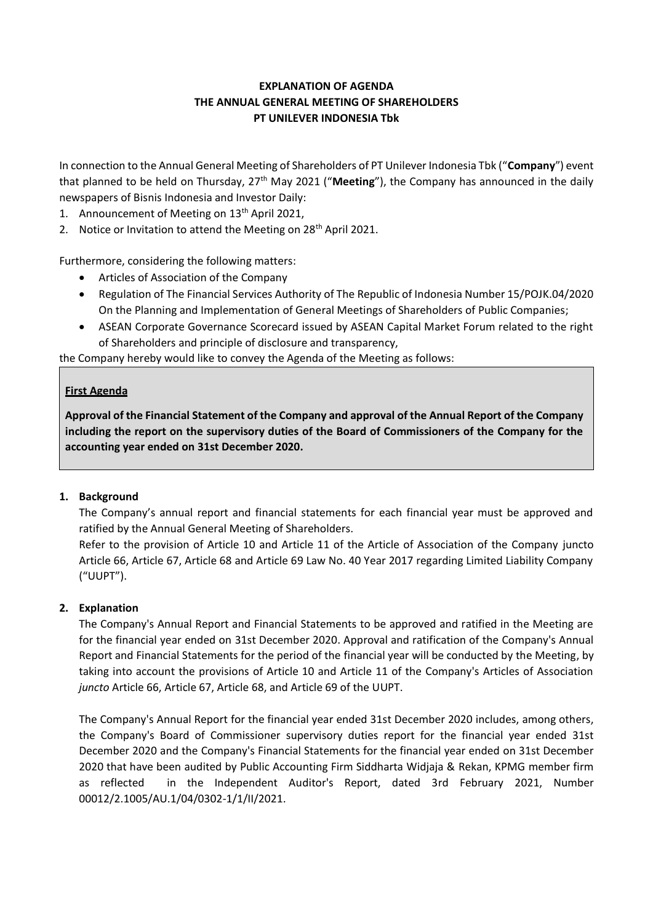# **EXPLANATION OF AGENDA THE ANNUAL GENERAL MEETING OF SHAREHOLDERS PT UNILEVER INDONESIA Tbk**

In connection to the Annual General Meeting of Shareholders of PT Unilever Indonesia Tbk ("**Company**") event that planned to be held on Thursday, 27th May 2021 ("**Meeting**"), the Company has announced in the daily newspapers of Bisnis Indonesia and Investor Daily:

- 1. Announcement of Meeting on 13<sup>th</sup> April 2021,
- 2. Notice or Invitation to attend the Meeting on 28<sup>th</sup> April 2021.

Furthermore, considering the following matters:

- Articles of Association of the Company
- Regulation of The Financial Services Authority of The Republic of Indonesia Number 15/POJK.04/2020 On the Planning and Implementation of General Meetings of Shareholders of Public Companies;
- ASEAN Corporate Governance Scorecard issued by ASEAN Capital Market Forum related to the right of Shareholders and principle of disclosure and transparency,

the Company hereby would like to convey the Agenda of the Meeting as follows:

### **First Agenda**

**Approval of the Financial Statement of the Company and approval of the Annual Report of the Company including the report on the supervisory duties of the Board of Commissioners of the Company for the accounting year ended on 31st December 2020.**

## **1. Background**

The Company's annual report and financial statements for each financial year must be approved and ratified by the Annual General Meeting of Shareholders.

Refer to the provision of Article 10 and Article 11 of the Article of Association of the Company juncto Article 66, Article 67, Article 68 and Article 69 Law No. 40 Year 2017 regarding Limited Liability Company ("UUPT").

## **2. Explanation**

The Company's Annual Report and Financial Statements to be approved and ratified in the Meeting are for the financial year ended on 31st December 2020. Approval and ratification of the Company's Annual Report and Financial Statements for the period of the financial year will be conducted by the Meeting, by taking into account the provisions of Article 10 and Article 11 of the Company's Articles of Association *juncto* Article 66, Article 67, Article 68, and Article 69 of the UUPT.

The Company's Annual Report for the financial year ended 31st December 2020 includes, among others, the Company's Board of Commissioner supervisory duties report for the financial year ended 31st December 2020 and the Company's Financial Statements for the financial year ended on 31st December 2020 that have been audited by Public Accounting Firm Siddharta Widjaja & Rekan, KPMG member firm as reflected in the Independent Auditor's Report, dated 3rd February 2021, Number 00012/2.1005/AU.1/04/0302-1/1/II/2021.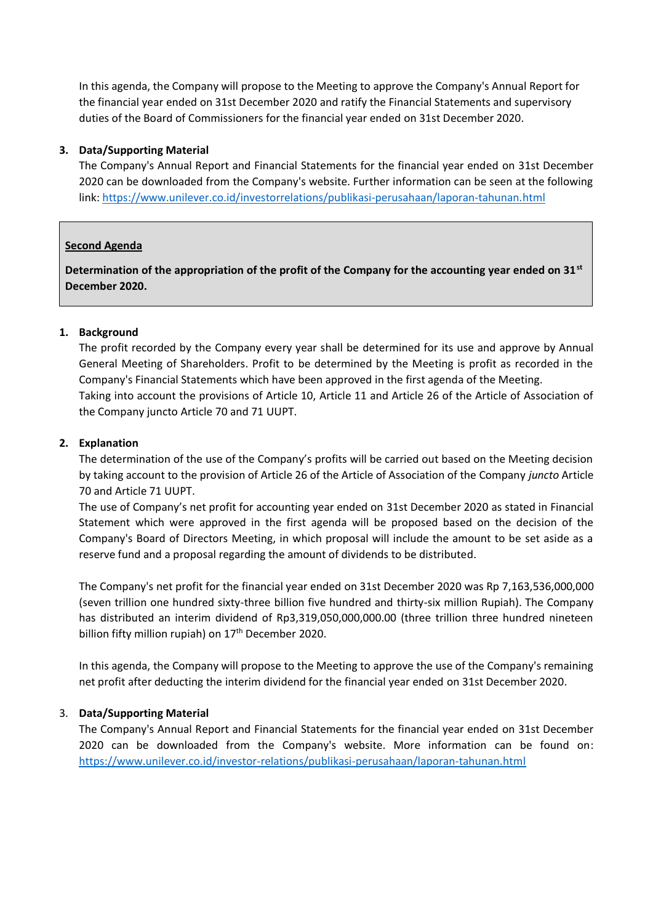In this agenda, the Company will propose to the Meeting to approve the Company's Annual Report for the financial year ended on 31st December 2020 and ratify the Financial Statements and supervisory duties of the Board of Commissioners for the financial year ended on 31st December 2020.

## **3. Data/Supporting Material**

The Company's Annual Report and Financial Statements for the financial year ended on 31st December 2020 can be downloaded from the Company's website. Further information can be seen at the following link: <https://www.unilever.co.id/investorrelations/publikasi-perusahaan/laporan-tahunan.html>

### **Second Agenda**

**Determination of the appropriation of the profit of the Company for the accounting year ended on 31st December 2020.**

### **1. Background**

The profit recorded by the Company every year shall be determined for its use and approve by Annual General Meeting of Shareholders. Profit to be determined by the Meeting is profit as recorded in the Company's Financial Statements which have been approved in the first agenda of the Meeting. Taking into account the provisions of Article 10, Article 11 and Article 26 of the Article of Association of the Company juncto Article 70 and 71 UUPT.

### **2. Explanation**

The determination of the use of the Company's profits will be carried out based on the Meeting decision by taking account to the provision of Article 26 of the Article of Association of the Company *juncto* Article 70 and Article 71 UUPT.

The use of Company's net profit for accounting year ended on 31st December 2020 as stated in Financial Statement which were approved in the first agenda will be proposed based on the decision of the Company's Board of Directors Meeting, in which proposal will include the amount to be set aside as a reserve fund and a proposal regarding the amount of dividends to be distributed.

The Company's net profit for the financial year ended on 31st December 2020 was Rp 7,163,536,000,000 (seven trillion one hundred sixty-three billion five hundred and thirty-six million Rupiah). The Company has distributed an interim dividend of Rp3,319,050,000,000.00 (three trillion three hundred nineteen billion fifty million rupiah) on 17<sup>th</sup> December 2020.

In this agenda, the Company will propose to the Meeting to approve the use of the Company's remaining net profit after deducting the interim dividend for the financial year ended on 31st December 2020.

## 3. **Data/Supporting Material**

The Company's Annual Report and Financial Statements for the financial year ended on 31st December 2020 can be downloaded from the Company's website. More information can be found on: <https://www.unilever.co.id/investor-relations/publikasi-perusahaan/laporan-tahunan.html>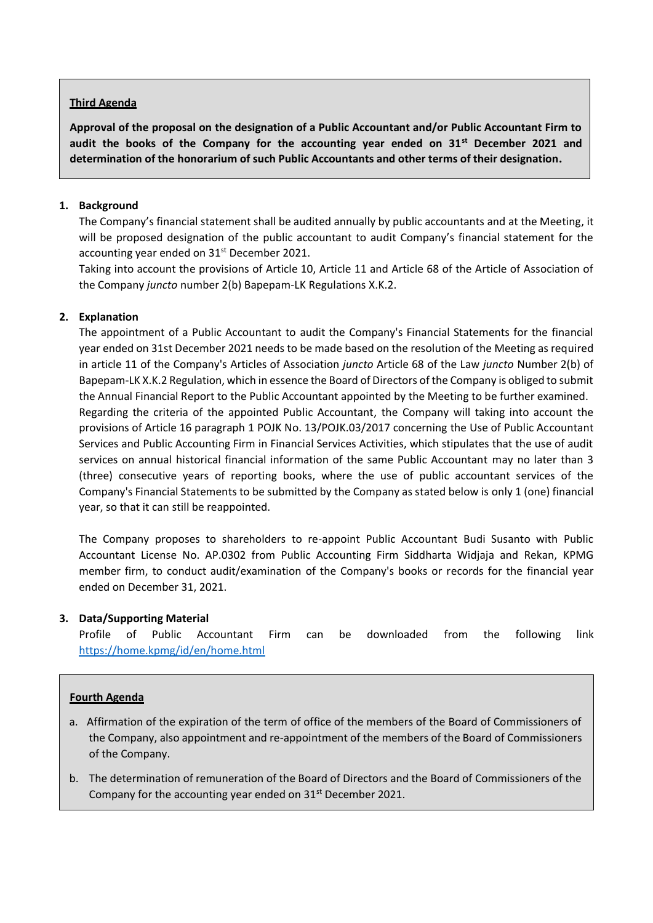### **Third Agenda**

**Approval of the proposal on the designation of a Public Accountant and/or Public Accountant Firm to audit the books of the Company for the accounting year ended on 31st December 2021 and determination of the honorarium of such Public Accountants and other terms of their designation.**

### **1. Background**

The Company's financial statement shall be audited annually by public accountants and at the Meeting, it will be proposed designation of the public accountant to audit Company's financial statement for the accounting year ended on 31<sup>st</sup> December 2021.

Taking into account the provisions of Article 10, Article 11 and Article 68 of the Article of Association of the Company *juncto* number 2(b) Bapepam-LK Regulations X.K.2.

### **2. Explanation**

The appointment of a Public Accountant to audit the Company's Financial Statements for the financial year ended on 31st December 2021 needs to be made based on the resolution of the Meeting as required in article 11 of the Company's Articles of Association *juncto* Article 68 of the Law *juncto* Number 2(b) of Bapepam-LK X.K.2 Regulation, which in essence the Board of Directors of the Company is obliged to submit the Annual Financial Report to the Public Accountant appointed by the Meeting to be further examined. Regarding the criteria of the appointed Public Accountant, the Company will taking into account the provisions of Article 16 paragraph 1 POJK No. 13/POJK.03/2017 concerning the Use of Public Accountant Services and Public Accounting Firm in Financial Services Activities, which stipulates that the use of audit services on annual historical financial information of the same Public Accountant may no later than 3 (three) consecutive years of reporting books, where the use of public accountant services of the Company's Financial Statements to be submitted by the Company as stated below is only 1 (one) financial year, so that it can still be reappointed.

The Company proposes to shareholders to re-appoint Public Accountant Budi Susanto with Public Accountant License No. AP.0302 from Public Accounting Firm Siddharta Widjaja and Rekan, KPMG member firm, to conduct audit/examination of the Company's books or records for the financial year ended on December 31, 2021.

#### **3. Data/Supporting Material**

Profile of Public Accountant Firm can be downloaded from the following link <https://home.kpmg/id/en/home.html>

#### **Fourth Agenda**

- a. Affirmation of the expiration of the term of office of the members of the Board of Commissioners of the Company, also appointment and re-appointment of the members of the Board of Commissioners of the Company.
- b. The determination of remuneration of the Board of Directors and the Board of Commissioners of the Company for the accounting year ended on  $31<sup>st</sup>$  December 2021.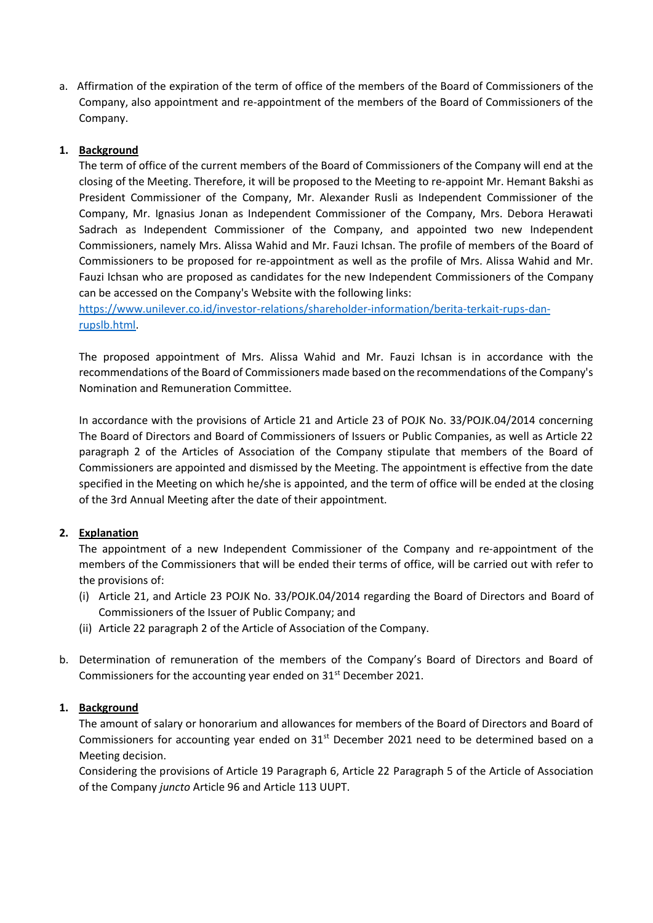a. Affirmation of the expiration of the term of office of the members of the Board of Commissioners of the Company, also appointment and re-appointment of the members of the Board of Commissioners of the Company.

## **1. Background**

The term of office of the current members of the Board of Commissioners of the Company will end at the closing of the Meeting. Therefore, it will be proposed to the Meeting to re-appoint Mr. Hemant Bakshi as President Commissioner of the Company, Mr. Alexander Rusli as Independent Commissioner of the Company, Mr. Ignasius Jonan as Independent Commissioner of the Company, Mrs. Debora Herawati Sadrach as Independent Commissioner of the Company, and appointed two new Independent Commissioners, namely Mrs. Alissa Wahid and Mr. Fauzi Ichsan. The profile of members of the Board of Commissioners to be proposed for re-appointment as well as the profile of Mrs. Alissa Wahid and Mr. Fauzi Ichsan who are proposed as candidates for the new Independent Commissioners of the Company can be accessed on the Company's Website with the following links:

[https://www.unilever.co.id/investor-relations/shareholder-information/berita-terkait-rups-dan](https://www.unilever.co.id/investor-relations/shareholder-information/berita-terkait-rups-dan-rupslb.html)[rupslb.html.](https://www.unilever.co.id/investor-relations/shareholder-information/berita-terkait-rups-dan-rupslb.html)

The proposed appointment of Mrs. Alissa Wahid and Mr. Fauzi Ichsan is in accordance with the recommendations of the Board of Commissioners made based on the recommendations of the Company's Nomination and Remuneration Committee.

In accordance with the provisions of Article 21 and Article 23 of POJK No. 33/POJK.04/2014 concerning The Board of Directors and Board of Commissioners of Issuers or Public Companies, as well as Article 22 paragraph 2 of the Articles of Association of the Company stipulate that members of the Board of Commissioners are appointed and dismissed by the Meeting. The appointment is effective from the date specified in the Meeting on which he/she is appointed, and the term of office will be ended at the closing of the 3rd Annual Meeting after the date of their appointment.

#### **2. Explanation**

The appointment of a new Independent Commissioner of the Company and re-appointment of the members of the Commissioners that will be ended their terms of office, will be carried out with refer to the provisions of:

- (i) Article 21, and Article 23 POJK No. 33/POJK.04/2014 regarding the Board of Directors and Board of Commissioners of the Issuer of Public Company; and
- (ii) Article 22 paragraph 2 of the Article of Association of the Company.
- b. Determination of remuneration of the members of the Company's Board of Directors and Board of Commissioners for the accounting year ended on 31<sup>st</sup> December 2021.

#### **1. Background**

The amount of salary or honorarium and allowances for members of the Board of Directors and Board of Commissioners for accounting year ended on  $31<sup>st</sup>$  December 2021 need to be determined based on a Meeting decision.

Considering the provisions of Article 19 Paragraph 6, Article 22 Paragraph 5 of the Article of Association of the Company *juncto* Article 96 and Article 113 UUPT.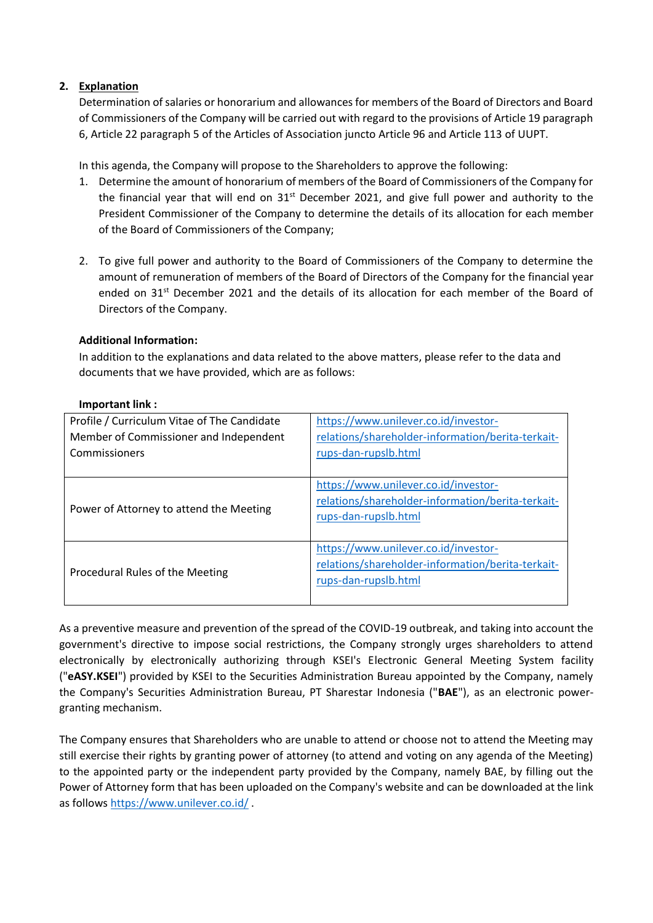## **2. Explanation**

Determination of salaries or honorarium and allowances for members of the Board of Directors and Board of Commissioners of the Company will be carried out with regard to the provisions of Article 19 paragraph 6, Article 22 paragraph 5 of the Articles of Association juncto Article 96 and Article 113 of UUPT.

In this agenda, the Company will propose to the Shareholders to approve the following:

- 1. Determine the amount of honorarium of members of the Board of Commissioners of the Company for the financial year that will end on 31<sup>st</sup> December 2021, and give full power and authority to the President Commissioner of the Company to determine the details of its allocation for each member of the Board of Commissioners of the Company;
- 2. To give full power and authority to the Board of Commissioners of the Company to determine the amount of remuneration of members of the Board of Directors of the Company for the financial year ended on 31<sup>st</sup> December 2021 and the details of its allocation for each member of the Board of Directors of the Company.

# **Additional Information:**

In addition to the explanations and data related to the above matters, please refer to the data and documents that we have provided, which are as follows:

| $Important$ $link:$                         |                                                   |
|---------------------------------------------|---------------------------------------------------|
| Profile / Curriculum Vitae of The Candidate | https://www.unilever.co.id/investor-              |
| Member of Commissioner and Independent      | relations/shareholder-information/berita-terkait- |
| Commissioners                               | rups-dan-rupslb.html                              |
|                                             |                                                   |
|                                             | https://www.unilever.co.id/investor-              |
| Power of Attorney to attend the Meeting     | relations/shareholder-information/berita-terkait- |
|                                             | rups-dan-rupslb.html                              |
|                                             |                                                   |

## **Important link :**

| Procedural Rules of the Meeting | https://www.unilever.co.id/investor-<br>relations/shareholder-information/berita-terkait-<br>rups-dan-rupslb.html |
|---------------------------------|-------------------------------------------------------------------------------------------------------------------|
|                                 | As a preventive measure and prevention of the spread of the COVID-19 outbreak, and taking into account            |

As a preventive measure and prevention of the spread of the COVID-19 outbreak, and taking into account the government's directive to impose social restrictions, the Company strongly urges shareholders to attend electronically by electronically authorizing through KSEI's Electronic General Meeting System facility ("**eASY.KSEI**") provided by KSEI to the Securities Administration Bureau appointed by the Company, namely the Company's Securities Administration Bureau, PT Sharestar Indonesia ("**BAE**"), as an electronic powergranting mechanism.

The Company ensures that Shareholders who are unable to attend or choose not to attend the Meeting may still exercise their rights by granting power of attorney (to attend and voting on any agenda of the Meeting) to the appointed party or the independent party provided by the Company, namely BAE, by filling out the Power of Attorney form that has been uploaded on the Company's website and can be downloaded at the link as follow[s https://www.unilever.co.id/](https://www.unilever.co.id/) .